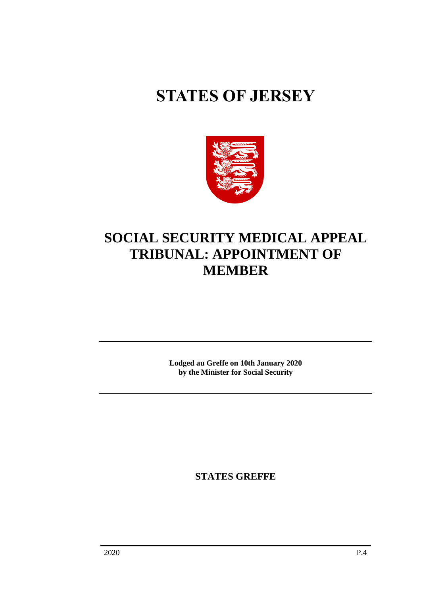# **STATES OF JERSEY**



## **SOCIAL SECURITY MEDICAL APPEAL TRIBUNAL: APPOINTMENT OF MEMBER**

**Lodged au Greffe on 10th January 2020 by the Minister for Social Security**

**STATES GREFFE**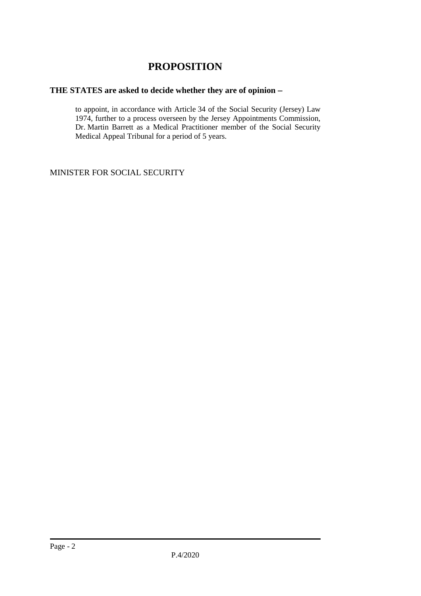### **PROPOSITION**

#### **THE STATES are asked to decide whether they are of opinion** −

to appoint, in accordance with Article 34 of the Social Security (Jersey) Law 1974, further to a process overseen by the Jersey Appointments Commission, Dr. Martin Barrett as a Medical Practitioner member of the Social Security Medical Appeal Tribunal for a period of 5 years.

MINISTER FOR SOCIAL SECURITY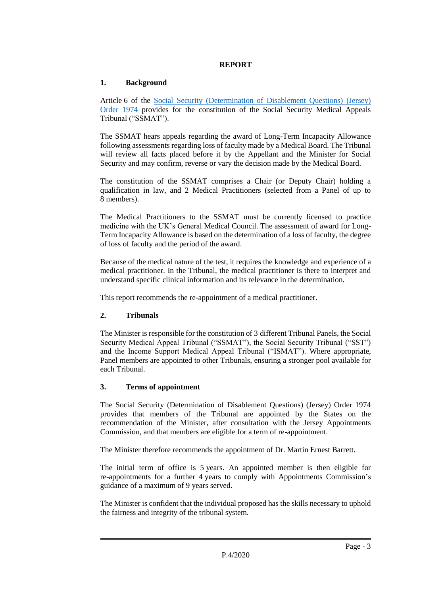#### **REPORT**

#### **1. Background**

Article 6 of the [Social Security \(Determination of Disablement Questions\) \(Jersey\)](https://www.jerseylaw.je/laws/revised/Pages/26.900.30.aspx)  [Order 1974](https://www.jerseylaw.je/laws/revised/Pages/26.900.30.aspx) provides for the constitution of the Social Security Medical Appeals Tribunal ("SSMAT").

The SSMAT hears appeals regarding the award of Long-Term Incapacity Allowance following assessments regarding loss of faculty made by a Medical Board. The Tribunal will review all facts placed before it by the Appellant and the Minister for Social Security and may confirm, reverse or vary the decision made by the Medical Board.

The constitution of the SSMAT comprises a Chair (or Deputy Chair) holding a qualification in law, and 2 Medical Practitioners (selected from a Panel of up to 8 members).

The Medical Practitioners to the SSMAT must be currently licensed to practice medicine with the UK's General Medical Council. The assessment of award for Long-Term Incapacity Allowance is based on the determination of a loss of faculty, the degree of loss of faculty and the period of the award.

Because of the medical nature of the test, it requires the knowledge and experience of a medical practitioner. In the Tribunal, the medical practitioner is there to interpret and understand specific clinical information and its relevance in the determination.

This report recommends the re-appointment of a medical practitioner.

#### **2. Tribunals**

The Minister is responsible for the constitution of 3 different Tribunal Panels, the Social Security Medical Appeal Tribunal ("SSMAT"), the Social Security Tribunal ("SST") and the Income Support Medical Appeal Tribunal ("ISMAT"). Where appropriate, Panel members are appointed to other Tribunals, ensuring a stronger pool available for each Tribunal.

#### **3. Terms of appointment**

The Social Security (Determination of Disablement Questions) (Jersey) Order 1974 provides that members of the Tribunal are appointed by the States on the recommendation of the Minister, after consultation with the Jersey Appointments Commission, and that members are eligible for a term of re-appointment.

The Minister therefore recommends the appointment of Dr. Martin Ernest Barrett.

The initial term of office is 5 years. An appointed member is then eligible for re-appointments for a further 4 years to comply with Appointments Commission's guidance of a maximum of 9 years served.

The Minister is confident that the individual proposed has the skills necessary to uphold the fairness and integrity of the tribunal system.